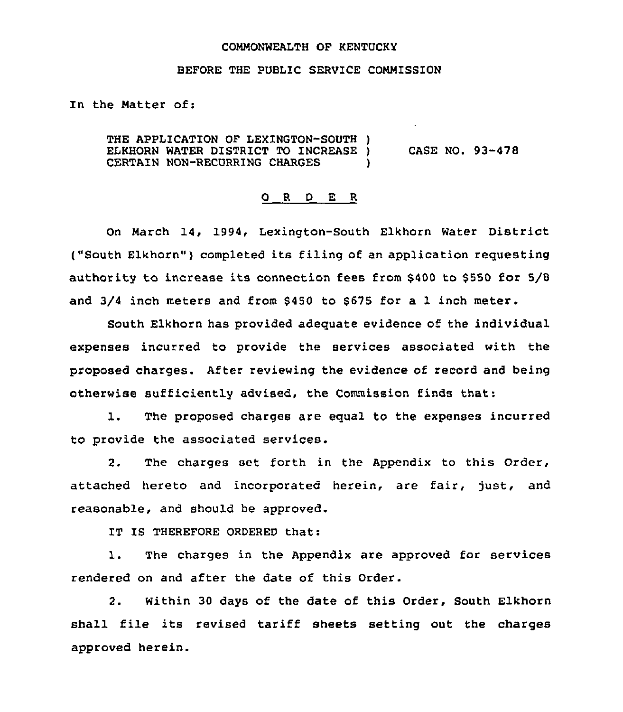#### COMMONWEALTH OF KENTUCKY

### BEFORE THE PUBLIC SERVICE CONNISSION

In the Natter of:

THE APPLICATION OF LEXINGTON-SOUTH ) ELKHORN WATER DISTRICT TO INCREASE )<br>CERTAIN NON-RECURRING CHARGES CERTAIN NON-RECURRING CHARGES

CASE NO. 93-478

#### O R D E R

On March 14, 1994, Lexington-South Elkhorn Water District ("South Elkhorn") completed its filing of an application requesting authority to increase its connection fees from \$400 to \$550 for 5/8 and 3/4 inch meters and from \$450 to 8675 for a 1 inch meter.

South Elkhorn has provided adequate evidence of the individual expenses incurred to provide the services associated with the proposed charges. After reviewing the evidence of record and being otherwise sufficiently advised, the Commission finds that:

1. The proposed charges are equal to the expenses incurred to provide the associated services.

2. The charges set forth in the Appendix to this Order, attached hereto and incorporated herein, are fair, just, and reasonable, and should be approved.

IT IS THEREFORE ORDERED that:

1. The charges in the Appendix are approved for services rendered on and after the date of this Order.

2. Within 30 days of the date of this Order, South Elkhorn shall file its revised tariff sheets setting out the charges approved herein.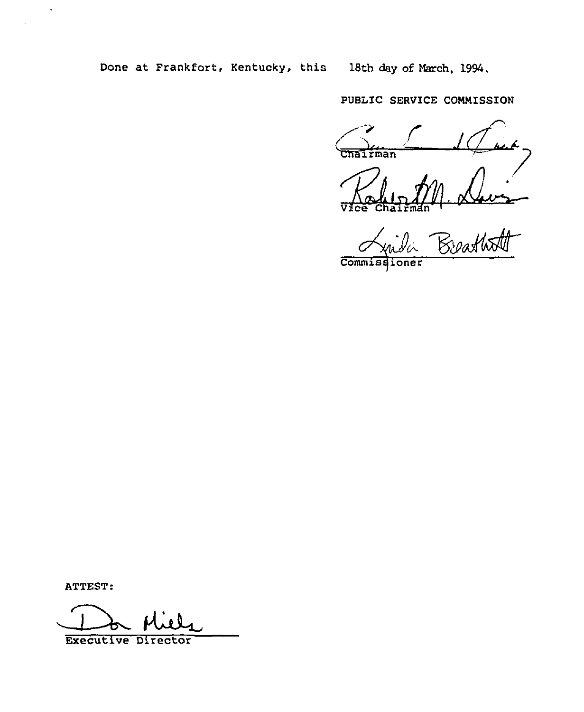Done at Frankfort, Kentucky, this 18th day of March, 1994.

PUBLIC SERVICE COMMISSION

Chairman

Chairm

Breathatt

Commissioner

ATTEST:

 $\hat{\mathbf{v}}$ 

 $\bar{z}$ 

**Executive Director**